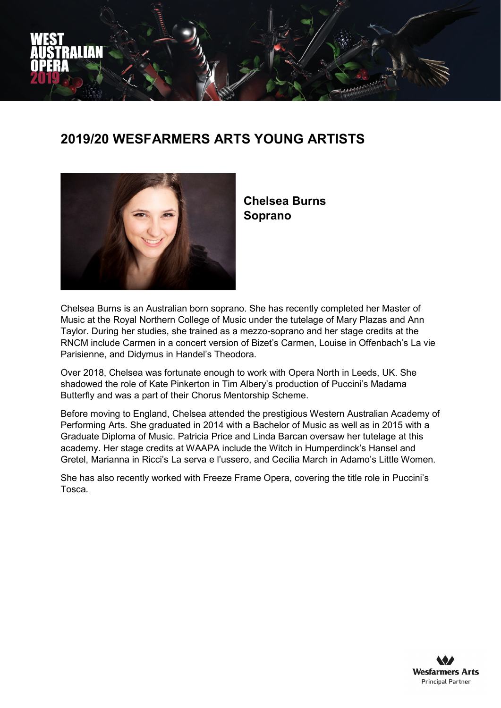

## **2019/20 WESFARMERS ARTS YOUNG ARTISTS**



**Chelsea Burns Soprano**

Chelsea Burns is an Australian born soprano. She has recently completed her Master of Music at the Royal Northern College of Music under the tutelage of Mary Plazas and Ann Taylor. During her studies, she trained as a mezzo-soprano and her stage credits at the RNCM include Carmen in a concert version of Bizet's Carmen, Louise in Offenbach's La vie Parisienne, and Didymus in Handel's Theodora.

Over 2018, Chelsea was fortunate enough to work with Opera North in Leeds, UK. She shadowed the role of Kate Pinkerton in Tim Albery's production of Puccini's Madama Butterfly and was a part of their Chorus Mentorship Scheme.

Before moving to England, Chelsea attended the prestigious Western Australian Academy of Performing Arts. She graduated in 2014 with a Bachelor of Music as well as in 2015 with a Graduate Diploma of Music. Patricia Price and Linda Barcan oversaw her tutelage at this academy. Her stage credits at WAAPA include the Witch in Humperdinck's Hansel and Gretel, Marianna in Ricci's La serva e l'ussero, and Cecilia March in Adamo's Little Women.

She has also recently worked with Freeze Frame Opera, covering the title role in Puccini's Tosca.

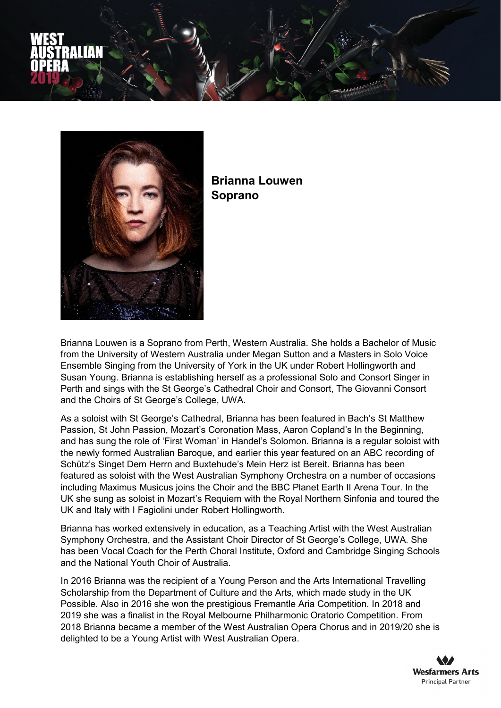



**Brianna Louwen Soprano**

Brianna Louwen is a Soprano from Perth, Western Australia. She holds a Bachelor of Music from the University of Western Australia under Megan Sutton and a Masters in Solo Voice Ensemble Singing from the University of York in the UK under Robert Hollingworth and Susan Young. Brianna is establishing herself as a professional Solo and Consort Singer in Perth and sings with the St George's Cathedral Choir and Consort, The Giovanni Consort and the Choirs of St George's College, UWA.

As a soloist with St George's Cathedral, Brianna has been featured in Bach's St Matthew Passion, St John Passion, Mozart's Coronation Mass, Aaron Copland's In the Beginning, and has sung the role of 'First Woman' in Handel's Solomon. Brianna is a regular soloist with the newly formed Australian Baroque, and earlier this year featured on an ABC recording of Schütz's Singet Dem Herrn and Buxtehude's Mein Herz ist Bereit. Brianna has been featured as soloist with the West Australian Symphony Orchestra on a number of occasions including Maximus Musicus joins the Choir and the BBC Planet Earth II Arena Tour. In the UK she sung as soloist in Mozart's Requiem with the Royal Northern Sinfonia and toured the UK and Italy with I Fagiolini under Robert Hollingworth.

Brianna has worked extensively in education, as a Teaching Artist with the West Australian Symphony Orchestra, and the Assistant Choir Director of St George's College, UWA. She has been Vocal Coach for the Perth Choral Institute, Oxford and Cambridge Singing Schools and the National Youth Choir of Australia.

In 2016 Brianna was the recipient of a Young Person and the Arts International Travelling Scholarship from the Department of Culture and the Arts, which made study in the UK Possible. Also in 2016 she won the prestigious Fremantle Aria Competition. In 2018 and 2019 she was a finalist in the Royal Melbourne Philharmonic Oratorio Competition. From 2018 Brianna became a member of the West Australian Opera Chorus and in 2019/20 she is delighted to be a Young Artist with West Australian Opera.

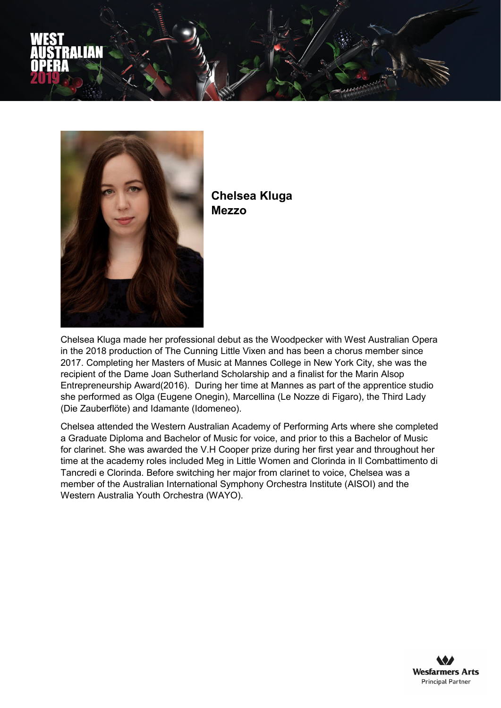



**Chelsea Kluga Mezzo**

Chelsea Kluga made her professional debut as the Woodpecker with West Australian Opera in the 2018 production of The Cunning Little Vixen and has been a chorus member since 2017. Completing her Masters of Music at Mannes College in New York City, she was the recipient of the Dame Joan Sutherland Scholarship and a finalist for the Marin Alsop Entrepreneurship Award(2016). During her time at Mannes as part of the apprentice studio she performed as Olga (Eugene Onegin), Marcellina (Le Nozze di Figaro), the Third Lady (Die Zauberflöte) and Idamante (Idomeneo).

Chelsea attended the Western Australian Academy of Performing Arts where she completed a Graduate Diploma and Bachelor of Music for voice, and prior to this a Bachelor of Music for clarinet. She was awarded the V.H Cooper prize during her first year and throughout her time at the academy roles included Meg in Little Women and Clorinda in Il Combattimento di Tancredi e Clorinda. Before switching her major from clarinet to voice, Chelsea was a member of the Australian International Symphony Orchestra Institute (AISOI) and the Western Australia Youth Orchestra (WAYO).

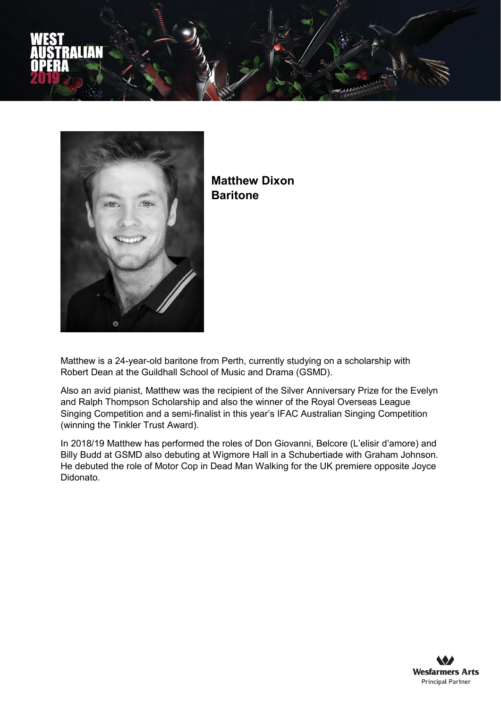



**Matthew Dixon Baritone**

Matthew is a 24-year-old baritone from Perth, currently studying on a scholarship with Robert Dean at the Guildhall School of Music and Drama (GSMD).

Also an avid pianist, Matthew was the recipient of the Silver Anniversary Prize for the Evelyn and Ralph Thompson Scholarship and also the winner of the Royal Overseas League Singing Competition and a semi-finalist in this year's IFAC Australian Singing Competition (winning the Tinkler Trust Award).

In 2018/19 Matthew has performed the roles of Don Giovanni, Belcore (L'elisir d'amore) and Billy Budd at GSMD also debuting at Wigmore Hall in a Schubertiade with Graham Johnson. He debuted the role of Motor Cop in Dead Man Walking for the UK premiere opposite Joyce Didonato.

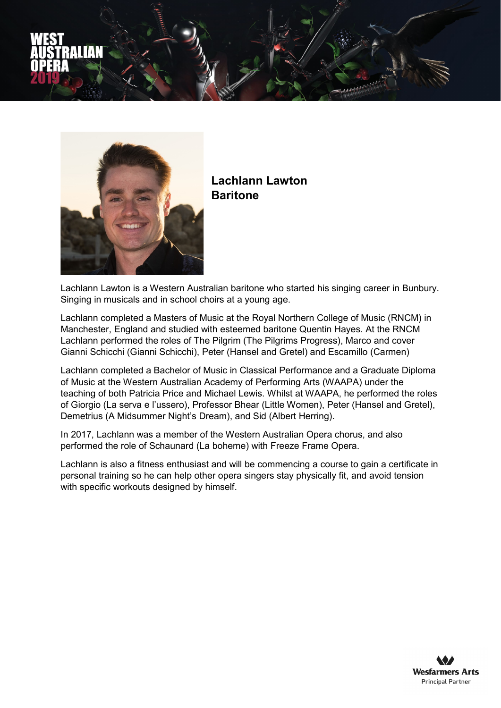



## **Lachlann Lawton Baritone**

Lachlann Lawton is a Western Australian baritone who started his singing career in Bunbury. Singing in musicals and in school choirs at a young age.

Lachlann completed a Masters of Music at the Royal Northern College of Music (RNCM) in Manchester, England and studied with esteemed baritone Quentin Hayes. At the RNCM Lachlann performed the roles of The Pilgrim (The Pilgrims Progress), Marco and cover Gianni Schicchi (Gianni Schicchi), Peter (Hansel and Gretel) and Escamillo (Carmen)

Lachlann completed a Bachelor of Music in Classical Performance and a Graduate Diploma of Music at the Western Australian Academy of Performing Arts (WAAPA) under the teaching of both Patricia Price and Michael Lewis. Whilst at WAAPA, he performed the roles of Giorgio (La serva e l'ussero), Professor Bhear (Little Women), Peter (Hansel and Gretel), Demetrius (A Midsummer Night's Dream), and Sid (Albert Herring).

In 2017, Lachlann was a member of the Western Australian Opera chorus, and also performed the role of Schaunard (La boheme) with Freeze Frame Opera.

Lachlann is also a fitness enthusiast and will be commencing a course to gain a certificate in personal training so he can help other opera singers stay physically fit, and avoid tension with specific workouts designed by himself.

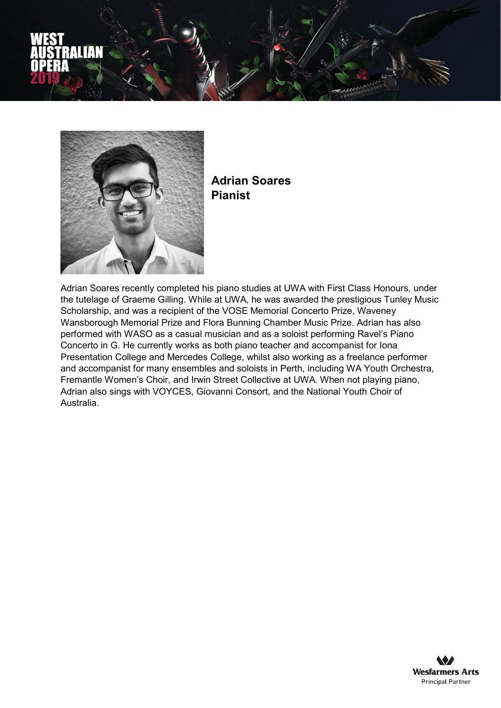



**Adrian Soares Pianist**

Adrian Soares recently completed his piano studies at UWA with First Class Honours, under the tutelage of Graeme Gilling. While at UWA, he was awarded the prestigious Tunley Music Scholarship, and was a recipient of the VOSE Memorial Concerto Prize, Waveney Wansborough Memorial Prize and Flora Bunning Chamber Music Prize. Adrian has also performed with WASO as a casual musician and as a soloist performing Ravel's Piano Concerto in G. He currently works as both piano teacher and accompanist for Iona Presentation College and Mercedes College, whilst also working as a freelance performer and accompanist for many ensembles and soloists in Perth, including WA Youth Orchestra, Fremantle Women's Choir, and Irwin Street Collective at UWA. When not playing piano, Adrian also sings with VOYCES, Giovanni Consort, and the National Youth Choir of Australia.